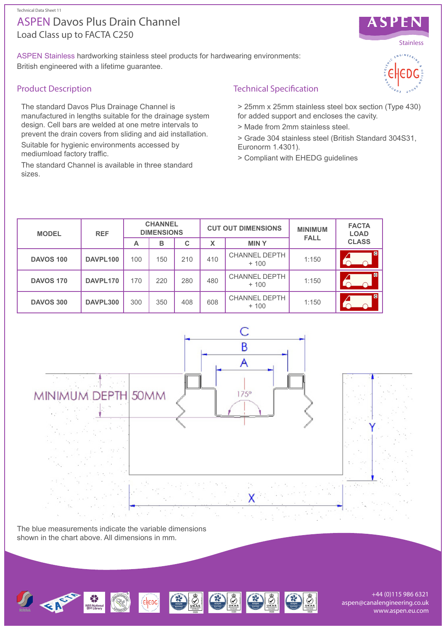# Load Class up to FACTA C250 ASPEN Davos Plus Drain Channel

ASPEN Stainless hardworking stainless steel products for hardwearing environments: British engineered with a lifetime guarantee.

### Product Description

The standard Davos Plus Drainage Channel is manufactured in lengths suitable for the drainage system design. Cell bars are welded at one metre intervals to prevent the drain covers from sliding and aid installation.

Suitable for hygienic environments accessed by mediumload factory traffic.

The standard Channel is available in three standard sizes.



> 25mm x 25mm stainless steel box section (Type 430) for added support and encloses the cavity.

- > Made from 2mm stainless steel.
- > Grade 304 stainless steel (British Standard 304S31, Euronorm 1.4301).
- > Compliant with EHEDG guidelines

| <b>MODEL</b>     | <b>REF</b> | <b>CHANNEL</b><br><b>DIMENSIONS</b> |     |     | <b>CUT OUT DIMENSIONS</b> |                                | <b>MINIMUM</b><br><b>FALL</b> | <b>FACTA</b><br><b>LOAD</b> |
|------------------|------------|-------------------------------------|-----|-----|---------------------------|--------------------------------|-------------------------------|-----------------------------|
|                  |            | A                                   | в   | C   | X                         | <b>MINY</b>                    |                               | <b>CLASS</b>                |
| <b>DAVOS 100</b> | DAVPL100   | 100                                 | 150 | 210 | 410                       | <b>CHANNEL DEPTH</b><br>$+100$ | 1:150                         | C                           |
| <b>DAVOS 170</b> | DAVPL170   | 170                                 | 220 | 280 | 480                       | <b>CHANNEL DEPTH</b><br>$+100$ | 1:150                         | <b>C</b>                    |
| <b>DAVOS 300</b> | DAVPL300   | 300                                 | 350 | 408 | 608                       | <b>CHANNEL DEPTH</b><br>$+100$ | 1:150                         | G                           |



The blue measurements indicate the variable dimensions shown in the chart above. All dimensions in mm.



+44 (0)115 986 6321 aspen@canalengineering.co.uk www.aspen.eu.com